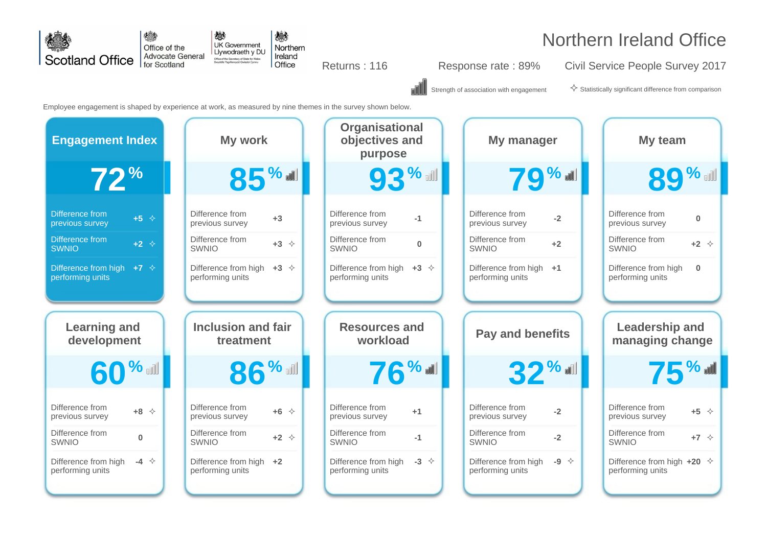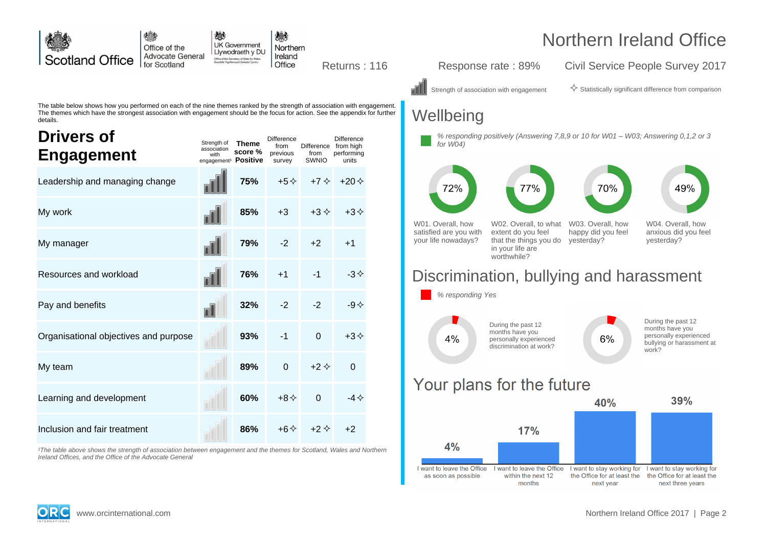

want to leave the Office

as soon as possible

I want to leave the Office

within the next 12

months

Ireland Offices, and the Office of the Advocate General

the Office for at least the

next three years

I want to stay working for I want to stay working for

the Office for at least the

next year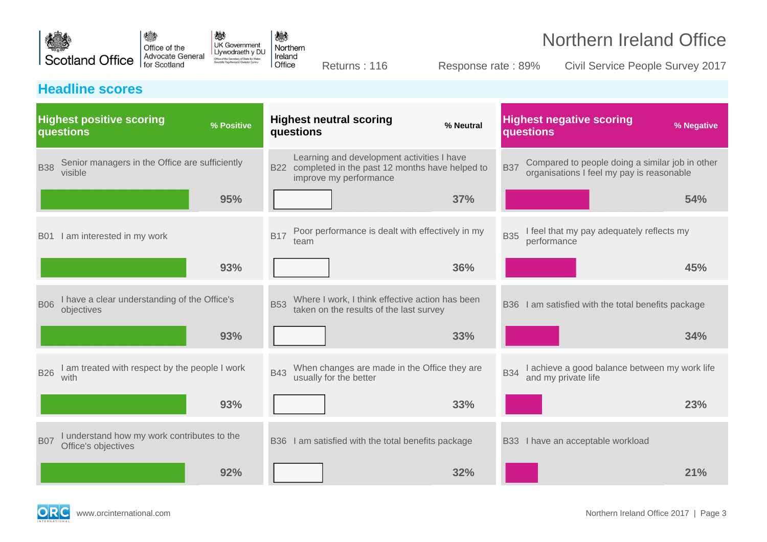

Returns : 116 Response rate : 89% Civil Service People Survey 2017

### **Headline scores**

| <b>Highest positive scoring</b><br>% Positive<br>questions                       | <b>Highest neutral scoring</b><br>% Neutral<br>questions                                                                   | <b>Highest negative scoring</b><br>% Negative<br>questions                                                 |
|----------------------------------------------------------------------------------|----------------------------------------------------------------------------------------------------------------------------|------------------------------------------------------------------------------------------------------------|
| Senior managers in the Office are sufficiently<br><b>B38</b><br>visible          | Learning and development activities I have<br>B22 completed in the past 12 months have helped to<br>improve my performance | Compared to people doing a similar job in other<br><b>B37</b><br>organisations I feel my pay is reasonable |
| 95%                                                                              | 37%                                                                                                                        | 54%                                                                                                        |
| I am interested in my work<br><b>B01</b>                                         | Poor performance is dealt with effectively in my<br><b>B17</b><br>team                                                     | I feel that my pay adequately reflects my<br><b>B35</b><br>performance                                     |
| 93%                                                                              | 36%                                                                                                                        | 45%                                                                                                        |
| I have a clear understanding of the Office's<br><b>B06</b><br>objectives         | Where I work, I think effective action has been<br>taken on the results of the last survey<br><b>B53</b>                   | I am satisfied with the total benefits package<br><b>B36</b>                                               |
| 93%                                                                              | 33%                                                                                                                        | 34%                                                                                                        |
| am treated with respect by the people I work<br><b>B26</b><br>with               | When changes are made in the Office they are<br><b>B43</b><br>usually for the better                                       | I achieve a good balance between my work life<br><b>B34</b><br>and my private life                         |
| 93%                                                                              | 33%                                                                                                                        | 23%                                                                                                        |
| I understand how my work contributes to the<br><b>B07</b><br>Office's objectives | B36 I am satisfied with the total benefits package                                                                         | I have an acceptable workload<br><b>B33</b>                                                                |
| 92%                                                                              | 32%                                                                                                                        | 21%                                                                                                        |

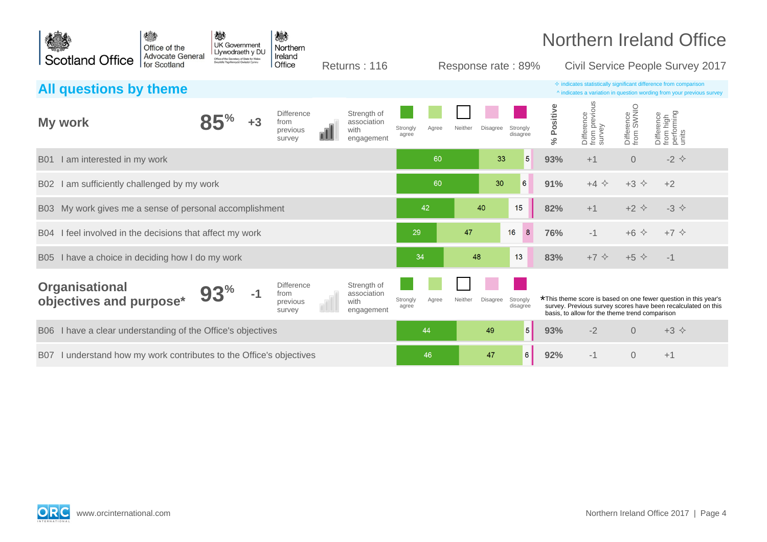| 横<br>Office of the                                                            | 戀<br><b>UK Government</b><br>Llywodraeth y DU                                    | 戀<br>Northern                                   |                                                        |                   |       |                     |                      |                         |                                                |                          | <b>Northern Ireland Office</b>                                                                                                                     |  |
|-------------------------------------------------------------------------------|----------------------------------------------------------------------------------|-------------------------------------------------|--------------------------------------------------------|-------------------|-------|---------------------|----------------------|-------------------------|------------------------------------------------|--------------------------|----------------------------------------------------------------------------------------------------------------------------------------------------|--|
| <b>Advocate General</b><br><b>Scotland Office</b><br>for Scotland             | Office of the Secretary of State for Wales<br>Swyddfa Ysgrifennydd Gwladol Cymru | Ireland<br>Office                               | Returns: 116                                           |                   |       | Response rate: 89%  |                      |                         |                                                |                          | Civil Service People Survey 2017                                                                                                                   |  |
| All questions by theme                                                        |                                                                                  |                                                 |                                                        |                   |       |                     |                      |                         |                                                |                          | $\Diamond$ indicates statistically significant difference from comparison<br>^ indicates a variation in question wording from your previous survey |  |
| My work                                                                       | $+3$                                                                             | <b>Difference</b><br>from<br>previous<br>survey | Strength of<br>association<br>with<br>nI<br>engagement | Strongly<br>agree | Agree | Neither<br>Disagree | Strongly<br>disagree | Positive<br>$\geqslant$ | Difference<br>from previous<br>survey          | Difference<br>from SWNIO | Difference<br>from high<br>performing<br>units                                                                                                     |  |
| I am interested in my work<br><b>B01</b>                                      |                                                                                  |                                                 |                                                        |                   | 60    | 33                  | 5                    | 93%                     | $+1$                                           | $\overline{0}$           | $-2$ $\leftrightarrow$                                                                                                                             |  |
| am sufficiently challenged by my work<br><b>B02</b>                           |                                                                                  |                                                 |                                                        |                   | 60    | 30                  | 6                    | 91%                     | $+4$ $\Leftrightarrow$                         | $+3$ $\Diamond$          | $+2$                                                                                                                                               |  |
| My work gives me a sense of personal accomplishment<br><b>B03</b>             |                                                                                  |                                                 |                                                        |                   | 42    | 40                  | 15                   | 82%                     | $+1$                                           | $+2$ $\Diamond$          | $-3$ $\diamond$                                                                                                                                    |  |
| I feel involved in the decisions that affect my work<br><b>B04</b>            |                                                                                  |                                                 |                                                        | 29                |       | 47                  | 8<br>16              | 76%                     | $-1$                                           | $+6$ $\Diamond$          | $+7$ $\diamond$                                                                                                                                    |  |
| I have a choice in deciding how I do my work<br><b>B05</b>                    |                                                                                  |                                                 |                                                        | 34                |       | 48                  | 13                   | 83%                     | $+7$ $\Diamond$                                | $+5$ $\Diamond$          | $-1$                                                                                                                                               |  |
| <b>Organisational</b><br>objectives and purpose*                              | $-1$                                                                             | <b>Difference</b><br>from<br>previous<br>survey | Strength of<br>association<br>with<br>engagement       | Strongly<br>agree | Agree | Neither<br>Disagree | Strongly<br>disagree |                         | basis, to allow for the theme trend comparison |                          | *This theme score is based on one fewer question in this year's<br>survey. Previous survey scores have been recalculated on this                   |  |
| I have a clear understanding of the Office's objectives<br><b>B06</b>         |                                                                                  |                                                 |                                                        |                   | 44    | 49                  | 5                    | 93%                     | $-2$                                           | $\overline{0}$           | $+3$ $\diamond$                                                                                                                                    |  |
| I understand how my work contributes to the Office's objectives<br><b>B07</b> |                                                                                  |                                                 |                                                        |                   | 46    | 47                  | 6                    | 92%                     | $-1$                                           | $\Omega$                 | $+1$                                                                                                                                               |  |

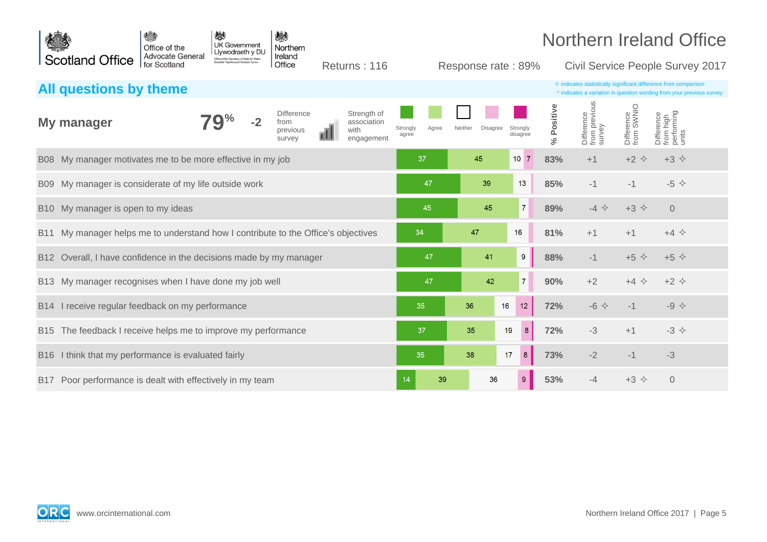|                 |                                                                               | 横<br>Office of the                      | 戀<br><b>UK Government</b><br>Llywodraeth y DU                                  |      | 戀<br>Northern                                   |                                                  |                   |       |                    |          |                      |                    | <b>Northern Ireland Office</b>                                                                                                                     |                          |                                                |  |
|-----------------|-------------------------------------------------------------------------------|-----------------------------------------|--------------------------------------------------------------------------------|------|-------------------------------------------------|--------------------------------------------------|-------------------|-------|--------------------|----------|----------------------|--------------------|----------------------------------------------------------------------------------------------------------------------------------------------------|--------------------------|------------------------------------------------|--|
|                 | <b>Scotland Office</b>                                                        | <b>Advocate General</b><br>for Scotland | Office of the Secretary of State for Wales<br>yddfa Ysgrifennydd Gwladol Cymru |      | Ireland<br>Office                               | Returns: 116                                     |                   |       | Response rate: 89% |          |                      |                    | Civil Service People Survey 2017                                                                                                                   |                          |                                                |  |
|                 | All questions by theme                                                        |                                         |                                                                                |      |                                                 |                                                  |                   |       |                    |          |                      |                    | $\diamond$ indicates statistically significant difference from comparison<br>^ indicates a variation in question wording from your previous survey |                          |                                                |  |
|                 | My manager                                                                    |                                         |                                                                                | $-2$ | <b>Difference</b><br>from<br>previous<br>survey | Strength of<br>association<br>with<br>engagement | Strongly<br>agree | Agree | Neither            | Disagree | Strongly<br>disagree | Positive<br>گ<br>ج | Difference<br>from previous<br>survey                                                                                                              | Difference<br>from SWNIO | Difference<br>from high<br>performing<br>units |  |
|                 | B08 My manager motivates me to be more effective in my job                    |                                         |                                                                                |      |                                                 |                                                  | 37                |       | 45                 |          | 10 <sup>7</sup>      | 83%                | $+1$                                                                                                                                               | $+2$ $\Diamond$          | $+3$ $\diamond$                                |  |
| B09             | My manager is considerate of my life outside work                             |                                         |                                                                                |      |                                                 |                                                  |                   | 47    |                    | 39       | 13                   | 85%                | $-1$                                                                                                                                               | $-1$                     | $-5$ $\diamond$                                |  |
| B <sub>10</sub> | My manager is open to my ideas                                                |                                         |                                                                                |      |                                                 |                                                  |                   | 45    |                    | 45       | $\overline{7}$       | 89%                | $-4$ $\Leftrightarrow$                                                                                                                             | $+3$ $\Diamond$          | $\Omega$                                       |  |
| <b>B11</b>      | My manager helps me to understand how I contribute to the Office's objectives |                                         |                                                                                |      |                                                 |                                                  | 34                |       | 47                 |          | 16                   | 81%                | $+1$                                                                                                                                               | $+1$                     | $+4$ $\diamond$                                |  |
| B <sub>12</sub> | Overall, I have confidence in the decisions made by my manager                |                                         |                                                                                |      |                                                 |                                                  |                   | 47    |                    | 41       | 9                    | 88%                | $-1$                                                                                                                                               | $+5$ $\Diamond$          | $+5$ $\Diamond$                                |  |
|                 | B13 My manager recognises when I have done my job well                        |                                         |                                                                                |      |                                                 |                                                  |                   | 47    |                    | 42       | $\overline{7}$       | 90%                | $+2$                                                                                                                                               | $+4$ $\Diamond$          | $+2$ $\Diamond$                                |  |
|                 | B14 I receive regular feedback on my performance                              |                                         |                                                                                |      |                                                 |                                                  | 35                |       | 36                 | 16       | 12                   | 72%                | $-6$ $\leftrightarrow$                                                                                                                             | $-1$                     | $-9$ $\diamond$                                |  |
|                 | B15 The feedback I receive helps me to improve my performance                 |                                         |                                                                                |      |                                                 |                                                  | 37                |       | 35                 | 19       | $\boldsymbol{8}$     | 72%                | $-3$                                                                                                                                               | $+1$                     | $-3$ $\leftrightarrow$                         |  |
| <b>B16</b>      | I think that my performance is evaluated fairly                               |                                         |                                                                                |      |                                                 |                                                  | 35                |       | 38                 | 17       | $\bf 8$              | 73%                | $-2$                                                                                                                                               | $-1$                     | $-3$                                           |  |
|                 | B17 Poor performance is dealt with effectively in my team                     |                                         |                                                                                |      |                                                 |                                                  | 14                | 39    |                    | 36       | $9\,$                | 53%                | $-4$                                                                                                                                               | $+3$ $\Diamond$          | $\overline{0}$                                 |  |

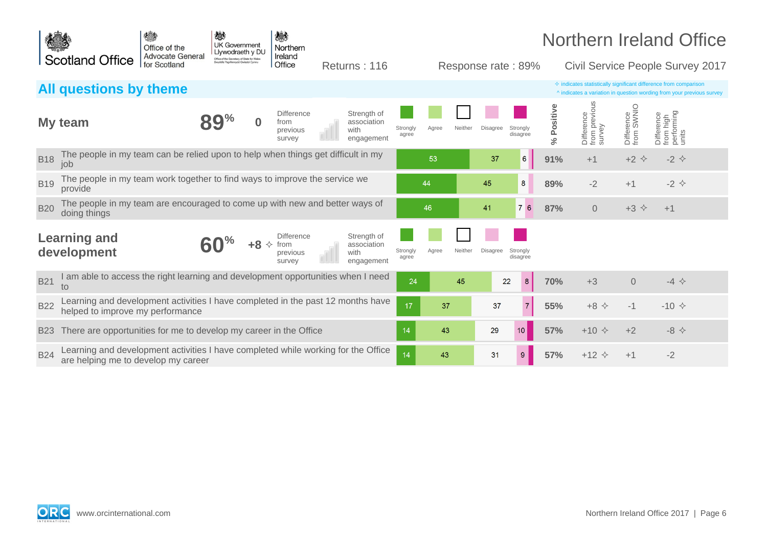|            |                                                                                                                          | 德<br>Office of the<br><b>Advocate General</b> | 戀<br><b>UK Government</b><br>Llywodraeth y DU                                    |   | 戀<br>Northern                                   |                                                  |                   |       |         |                    |                      |                  |                                       |                          | <b>Northern Ireland Office</b>                                                                                                                     |  |
|------------|--------------------------------------------------------------------------------------------------------------------------|-----------------------------------------------|----------------------------------------------------------------------------------|---|-------------------------------------------------|--------------------------------------------------|-------------------|-------|---------|--------------------|----------------------|------------------|---------------------------------------|--------------------------|----------------------------------------------------------------------------------------------------------------------------------------------------|--|
|            | <b>Scotland Office</b>                                                                                                   | for Scotland                                  | Office of the Secretary of State for Wales<br>Swyddfa Ysgrifennydd Gwladol Cymru |   | Ireland<br>Office                               | Returns: 116                                     |                   |       |         | Response rate: 89% |                      |                  |                                       |                          | Civil Service People Survey 2017                                                                                                                   |  |
|            | All questions by theme                                                                                                   |                                               |                                                                                  |   |                                                 |                                                  |                   |       |         |                    |                      |                  |                                       |                          | $\diamond$ indicates statistically significant difference from comparison<br>^ indicates a variation in question wording from your previous survey |  |
|            | My team                                                                                                                  |                                               |                                                                                  |   | <b>Difference</b><br>from<br>previous<br>survey | Strength of<br>association<br>with<br>engagement | Strongly<br>agree | Aaree | Neither | Disagree           | Strongly<br>disagree | Positive<br>$\%$ | Difference<br>from previous<br>survey | Difference<br>from SWNIO | Difference<br>from high<br>performing<br>units                                                                                                     |  |
| <b>B18</b> | The people in my team can be relied upon to help when things get difficult in my<br>job                                  |                                               |                                                                                  |   |                                                 |                                                  |                   | 53    |         | 37                 | $6 \overline{6}$     | 91%              | $+1$                                  | $+2$ $\Diamond$          | $-2$ $\leftrightarrow$                                                                                                                             |  |
| <b>B19</b> | The people in my team work together to find ways to improve the service we<br>provide                                    |                                               |                                                                                  |   |                                                 |                                                  |                   | 44    |         | 45                 | 8                    | 89%              | $-2$                                  | $+1$                     | $-2$ $\diamond$                                                                                                                                    |  |
| <b>B20</b> | The people in my team are encouraged to come up with new and better ways of<br>doing things                              |                                               |                                                                                  |   |                                                 |                                                  |                   | 46    |         | 41                 | 76                   | 87%              | $\Omega$                              | $+3$ $\Leftrightarrow$   | $+1$                                                                                                                                               |  |
|            | <b>Learning and</b><br>development                                                                                       |                                               |                                                                                  | ✧ | <b>Difference</b><br>from<br>previous<br>survey | Strength of<br>association<br>with<br>engagement | Strongly<br>agree | Agree | Neither | <b>Disagree</b>    | Strongly<br>disagree |                  |                                       |                          |                                                                                                                                                    |  |
| <b>B21</b> | I am able to access the right learning and development opportunities when I need<br>to                                   |                                               |                                                                                  |   |                                                 |                                                  | 24                |       | 45      | 22                 | 8                    | 70%              | $+3$                                  | $\Omega$                 | $-4$ $\Leftrightarrow$                                                                                                                             |  |
| <b>B22</b> | Learning and development activities I have completed in the past 12 months have<br>helped to improve my performance      |                                               |                                                                                  |   |                                                 |                                                  | 17                | 37    |         | 37                 | $\overline{7}$       | 55%              | $+8$ $\Leftrightarrow$                | $-1$                     | $-10 \div$                                                                                                                                         |  |
| <b>B23</b> | There are opportunities for me to develop my career in the Office                                                        |                                               |                                                                                  |   |                                                 |                                                  | 14                | 43    |         | 29                 | 10                   | 57%              | $+10 \div$                            | $+2$                     | $-8$ $\leftrightarrow$                                                                                                                             |  |
| <b>B24</b> | Learning and development activities I have completed while working for the Office<br>are helping me to develop my career |                                               |                                                                                  |   |                                                 |                                                  | 14                | 43    |         | 31                 | 9                    | 57%              | $+12$ $\Diamond$                      | $+1$                     | $-2$                                                                                                                                               |  |

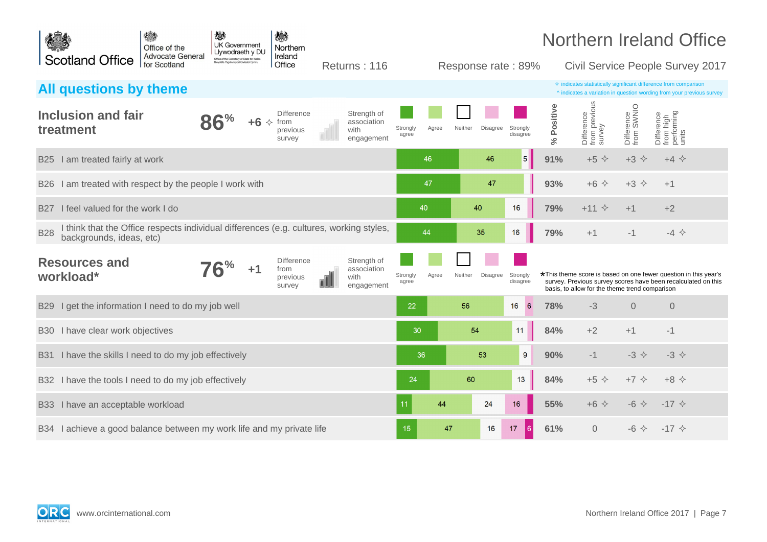| 德<br>Office of the                                                                                                                | 戀<br><b>UK Government</b><br>Llywodraeth y DU | 戀<br>Northern                                   |                                                        |                            |                     |                      |                      |                                                |                          | <b>Northern Ireland Office</b>                                                                                                                     |
|-----------------------------------------------------------------------------------------------------------------------------------|-----------------------------------------------|-------------------------------------------------|--------------------------------------------------------|----------------------------|---------------------|----------------------|----------------------|------------------------------------------------|--------------------------|----------------------------------------------------------------------------------------------------------------------------------------------------|
| <b>Advocate General</b><br><b>Scotland Office</b><br>for Scotland                                                                 |                                               | Ireland<br>Office                               | Returns: 116                                           |                            | Response rate: 89%  |                      |                      |                                                |                          | <b>Civil Service People Survey 2017</b>                                                                                                            |
| <b>All questions by theme</b>                                                                                                     |                                               |                                                 |                                                        |                            |                     |                      |                      |                                                |                          | $\Diamond$ indicates statistically significant difference from comparison<br>^ indicates a variation in question wording from your previous survey |
| Inclusion and fair<br>treatment                                                                                                   | 86<br>$+6$ $\Diamond$                         | <b>Difference</b><br>from<br>previous<br>survey | Strength of<br>association<br>with<br>engagement       | Strongly<br>Agree<br>agree | Neither<br>Disagree | Strongly<br>disagree | Positive<br>$\aleph$ | Difference<br>from previous<br>survey          | Difference<br>from SWNIO | Difference<br>from high<br>performing<br>units                                                                                                     |
| B25 I am treated fairly at work                                                                                                   |                                               |                                                 |                                                        | 46                         | 46                  | 5                    | 91%                  | $+5$ $\diamond$                                | $+3$ $\Leftrightarrow$   | $+4$ $\diamond$                                                                                                                                    |
| I am treated with respect by the people I work with<br><b>B26</b>                                                                 |                                               |                                                 |                                                        | 47                         | 47                  |                      | 93%                  | $+6$<br>$\rightsquigarrow$                     | $+3$ $\Diamond$          | $+1$                                                                                                                                               |
| I feel valued for the work I do<br><b>B27</b>                                                                                     |                                               |                                                 |                                                        | 40                         | 40                  | 16                   | 79%                  | $+11$<br>$\rightsquigarrow$                    | $+1$                     | $+2$                                                                                                                                               |
| I think that the Office respects individual differences (e.g. cultures, working styles,<br><b>B28</b><br>backgrounds, ideas, etc) |                                               |                                                 |                                                        | 44                         | 35                  | 16                   | 79%                  | $+1$                                           | $-1$                     | $-4$ $\Leftrightarrow$                                                                                                                             |
| <b>Resources and</b><br>workload*                                                                                                 | $+1$                                          | <b>Difference</b><br>from<br>previous<br>survey | Strength of<br>association<br>with<br>ПI<br>engagement | Strongly<br>Agree<br>agree | Neither<br>Disagree | Strongly<br>disagree |                      | basis, to allow for the theme trend comparison |                          | *This theme score is based on one fewer question in this year's<br>survey. Previous survey scores have been recalculated on this                   |
| I get the information I need to do my job well<br><b>B29</b>                                                                      |                                               |                                                 |                                                        | 22                         | 56                  | 6<br>16              | 78%                  | $-3$                                           | $\Omega$                 | $\Omega$                                                                                                                                           |
| B30 I have clear work objectives                                                                                                  |                                               |                                                 |                                                        | 30                         | 54                  | 11                   | 84%                  | $+2$                                           | $+1$                     | $-1$                                                                                                                                               |
| I have the skills I need to do my job effectively<br><b>B31</b>                                                                   |                                               |                                                 |                                                        | 36                         | 53                  | 9                    | 90%                  | $-1$                                           | $-3$ $\Leftrightarrow$   | $-3$ $\Leftrightarrow$                                                                                                                             |
| B32 I have the tools I need to do my job effectively                                                                              |                                               |                                                 |                                                        | 24                         | 60                  | 13                   | 84%                  | $+5$ $\diamond$                                | $+7$ $\Diamond$          | $+8$ $\Diamond$                                                                                                                                    |
| I have an acceptable workload<br><b>B33</b>                                                                                       |                                               |                                                 |                                                        | 44<br>11                   | 24                  | 16                   | 55%                  | $+6$ $\Diamond$                                | $-6$ $\leftrightarrow$   | $-17$ $\diamond$                                                                                                                                   |
| B34 I achieve a good balance between my work life and my private life                                                             |                                               |                                                 |                                                        | 15                         | 47<br>16            | l 61<br>17           | 61%                  | $\Omega$                                       | $-6$ $\Leftrightarrow$   | $-17 \diamond$                                                                                                                                     |

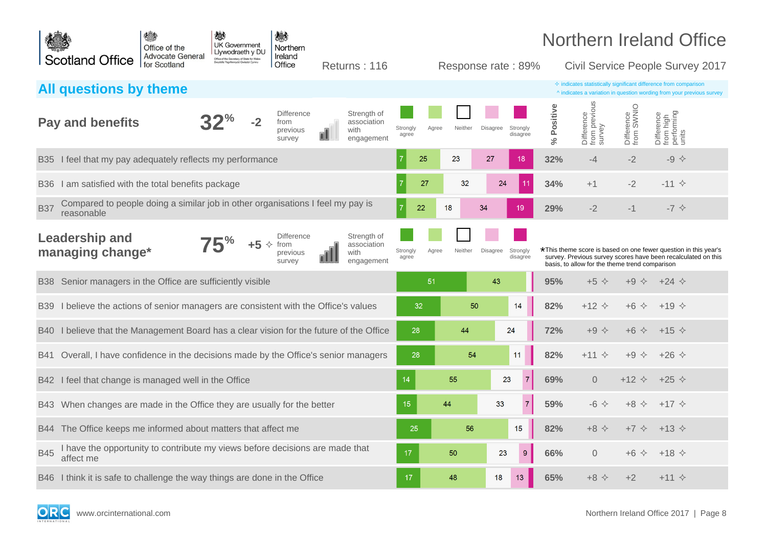|             |                                                                                              | 横<br>Office of the                      | 戀<br><b>UK Government</b><br>Llywodraeth y DU |           | 戀<br>Northern                                   |                                                  |                   |       |         |                    |                      |                      | <b>Northern Ireland Office</b>                                                                                                                                                     |                          |                                                |  |
|-------------|----------------------------------------------------------------------------------------------|-----------------------------------------|-----------------------------------------------|-----------|-------------------------------------------------|--------------------------------------------------|-------------------|-------|---------|--------------------|----------------------|----------------------|------------------------------------------------------------------------------------------------------------------------------------------------------------------------------------|--------------------------|------------------------------------------------|--|
|             | <b>Scotland Office</b>                                                                       | <b>Advocate General</b><br>for Scotland | Office of the Secretary of State for Wales    |           | Ireland<br>Office                               | Returns: 116                                     |                   |       |         | Response rate: 89% |                      |                      | Civil Service People Survey 2017                                                                                                                                                   |                          |                                                |  |
|             | All questions by theme                                                                       |                                         |                                               |           |                                                 |                                                  |                   |       |         |                    |                      |                      | $\diamond$ indicates statistically significant difference from comparison<br>^ indicates a variation in question wording from your previous survey                                 |                          |                                                |  |
|             | <b>Pay and benefits</b>                                                                      |                                         |                                               |           | <b>Difference</b><br>from<br>previous<br>survey | Strength of<br>association<br>with<br>engagement | Strongly<br>agree | Agree | Neither | Disagree           | Strongly<br>disagree | Positive<br>$\aleph$ | Difference<br>from previous<br>survey                                                                                                                                              | Difference<br>from SWNIO | Difference<br>from high<br>performing<br>units |  |
| <b>B</b> 35 | I feel that my pay adequately reflects my performance                                        |                                         |                                               |           |                                                 |                                                  |                   | 25    | 23      | 27                 | 18                   | 32%                  | -4                                                                                                                                                                                 | $-2$                     | $-9$ $\diamond$                                |  |
| <b>B36</b>  | I am satisfied with the total benefits package                                               |                                         |                                               |           |                                                 |                                                  |                   | 27    | 32      | 24                 |                      | 34%                  | $+1$                                                                                                                                                                               | $-2$                     | $-11 \diamond$                                 |  |
| <b>B37</b>  | Compared to people doing a similar job in other organisations I feel my pay is<br>reasonable |                                         |                                               |           |                                                 |                                                  |                   | 22    | 18      | 34                 | 19                   | 29%                  | $-2$                                                                                                                                                                               | $-1$                     | $-7$ $\diamondsuit$                            |  |
|             | <b>Leadership and</b><br>managing change*                                                    |                                         |                                               | $+5$<br>✧ | <b>Difference</b><br>from<br>previous<br>survev | Strength of<br>association<br>with<br>engagement | Strongly<br>agree | Agree | Neither | Disagree           | Strongly<br>disagree |                      | *This theme score is based on one fewer question in this year's<br>survey. Previous survey scores have been recalculated on this<br>basis, to allow for the theme trend comparison |                          |                                                |  |
| <b>B38</b>  | Senior managers in the Office are sufficiently visible                                       |                                         |                                               |           |                                                 |                                                  |                   | 51    |         | 43                 |                      | 95%                  | $+5$ $\diamond$                                                                                                                                                                    | $+9$ $\diamond$          | $+24 \diamond$                                 |  |
| <b>B39</b>  | I believe the actions of senior managers are consistent with the Office's values             |                                         |                                               |           |                                                 |                                                  | 32                |       | 50      |                    | 14                   | 82%                  | $+12$ $\Diamond$                                                                                                                                                                   | $+6$ $\Diamond$          | $+19 \diamond$                                 |  |
| B40         | I believe that the Management Board has a clear vision for the future of the Office          |                                         |                                               |           |                                                 |                                                  | 28                |       | 44      |                    | 24                   | 72%                  | $+9$ $\diamond$                                                                                                                                                                    | $+6$ $\Diamond$          | $+15 \diamond$                                 |  |
| <b>B41</b>  | Overall, I have confidence in the decisions made by the Office's senior managers             |                                         |                                               |           |                                                 |                                                  | 28                |       | 54      |                    | 11                   | 82%                  | $+11$ $\diamond$                                                                                                                                                                   | $+9$ $\diamond$          | $+26 \diamond$                                 |  |
|             | B42 I feel that change is managed well in the Office                                         |                                         |                                               |           |                                                 |                                                  | 14                |       | 55      |                    | 23<br>$\overline{7}$ | 69%                  | $\overline{0}$                                                                                                                                                                     | $+12$ $\Diamond$         | $+25 \diamond$                                 |  |
| B43         | When changes are made in the Office they are usually for the better                          |                                         |                                               |           |                                                 |                                                  | 15                |       | 44      | 33                 | $\overline{7}$       | 59%                  | $-6$ $\leftrightarrow$                                                                                                                                                             | $+8$ $\Diamond$          | $+17$ $\diamond$                               |  |
| <b>B44</b>  | The Office keeps me informed about matters that affect me                                    |                                         |                                               |           |                                                 |                                                  | 25                |       | 56      |                    | 15                   | 82%                  | $+8$ $\Diamond$                                                                                                                                                                    | $+7$ $\diamond$          | $+13 \diamond$                                 |  |
| <b>B45</b>  | I have the opportunity to contribute my views before decisions are made that<br>affect me    |                                         |                                               |           |                                                 |                                                  | 17                |       | 50      | 23                 | $\boldsymbol{9}$     | 66%                  | $\overline{0}$                                                                                                                                                                     | $+6$ $\Diamond$          | $+18 \diamond$                                 |  |
|             | B46 I think it is safe to challenge the way things are done in the Office                    |                                         |                                               |           |                                                 |                                                  | 17                |       | 48      | 18                 | 13                   | 65%                  | $+8$ $\leftrightarrow$                                                                                                                                                             | $+2$                     | $+11 \diamond$                                 |  |

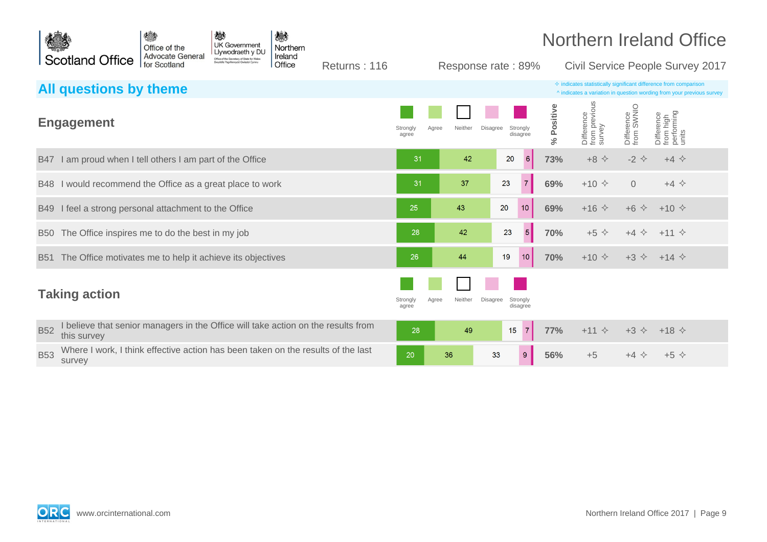



Returns : 116 Response rate : 89% Civil Service People Survey 2017

| All questions by theme                                                                                       |                                                                           |                       |                                       | $\Diamond$ indicates statistically significant difference from comparison<br>^ indicates a variation in question wording from your previous survey |
|--------------------------------------------------------------------------------------------------------------|---------------------------------------------------------------------------|-----------------------|---------------------------------------|----------------------------------------------------------------------------------------------------------------------------------------------------|
| <b>Engagement</b>                                                                                            | Disagree<br>Strongly<br>Strongly<br>Neither<br>Agree<br>disagree<br>agree | % Positive            | Difference<br>from previous<br>survey | Difference<br>from SWNIO<br>Difference<br>from high<br>performing<br>units                                                                         |
| I am proud when I tell others I am part of the Office<br><b>B47</b>                                          | 42<br>20<br>31                                                            | 6<br>73%              | $+8$ $\diamond$                       | $-2$ $\Leftrightarrow$<br>$+4$ $\diamond$                                                                                                          |
| I would recommend the Office as a great place to work<br><b>B48</b>                                          | 37<br>23<br>31                                                            | $\overline{7}$<br>69% | $+10 \div$                            | $\overline{0}$<br>$+4$ $\diamond$                                                                                                                  |
| I feel a strong personal attachment to the Office<br><b>B49</b>                                              | 25<br>20<br>43                                                            | 10<br>69%             | $+16$ $\diamond$                      | $+6$ $\Diamond$<br>$+10 \div$                                                                                                                      |
| B50 The Office inspires me to do the best in my job                                                          | 42<br>23<br>28                                                            | 5 <sup>5</sup><br>70% | $+5$ $\diamond$                       | $+4$ $\diamond$ $+11$ $\diamond$                                                                                                                   |
| The Office motivates me to help it achieve its objectives<br><b>B51</b>                                      | 26<br>19<br>44                                                            | 10<br>70%             | $+10 \div$                            | $+3$ $\diamond$ $+14$ $\diamond$                                                                                                                   |
| <b>Taking action</b>                                                                                         | Strongly<br>Neither<br>Disagree<br>Strongly<br>Agree<br>disagree<br>agree |                       |                                       |                                                                                                                                                    |
| believe that senior managers in the Office will take action on the results from<br><b>B52</b><br>this survey | 49<br>28<br>15                                                            | $\overline{7}$<br>77% | $+11$ $\diamond$                      | $+3$ $\diamond$<br>$+18$ $\diamond$                                                                                                                |
| Where I work, I think effective action has been taken on the results of the last<br><b>B53</b><br>survey     | 20<br>36<br>33                                                            | 9<br>56%              | $+5$                                  | $+5$ $\diamond$<br>$+4$ $\diamond$                                                                                                                 |

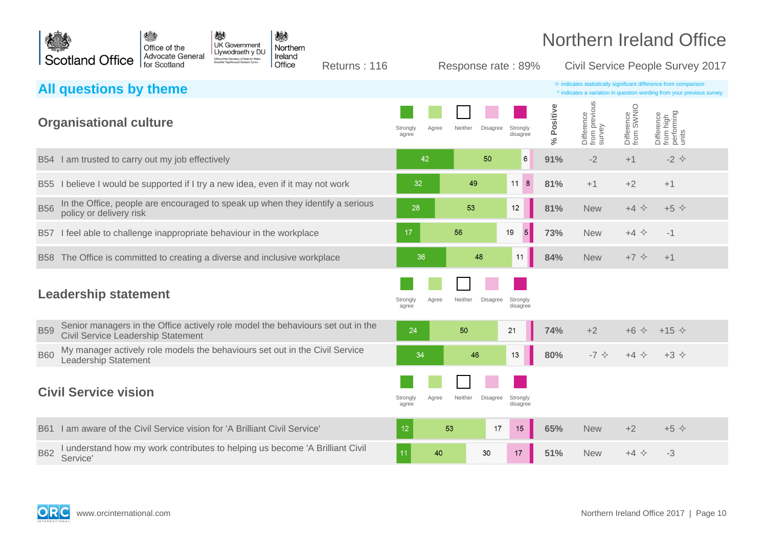

Returns : 116 Response rate : 89% Civil Service People Survey 2017

|            | All questions by theme                                                                                                |                            |                            |                      |            |                                       |                          | $\diamond$ indicates statistically significant difference from comparison<br>^ indicates a variation in question wording from your previous survey |
|------------|-----------------------------------------------------------------------------------------------------------------------|----------------------------|----------------------------|----------------------|------------|---------------------------------------|--------------------------|----------------------------------------------------------------------------------------------------------------------------------------------------|
|            | <b>Organisational culture</b>                                                                                         | Strongly<br>Agree<br>agree | Neither<br>Disagree        | Strongly<br>disagree | % Positive | Difference<br>from previous<br>survey | Difference<br>from SWNIO | Difference<br>from high<br>performing<br>units                                                                                                     |
|            | B54 I am trusted to carry out my job effectively                                                                      | 42                         | 50                         | 6                    | 91%        | $-2$                                  | $+1$                     | $-2$ $\Leftrightarrow$                                                                                                                             |
|            | B55 I believe I would be supported if I try a new idea, even if it may not work                                       | 32                         | 49                         | $11 \quad 8$         | 81%        | $+1$                                  | $+2$                     | $+1$                                                                                                                                               |
| <b>B56</b> | In the Office, people are encouraged to speak up when they identify a serious<br>policy or delivery risk              | 28                         | 53                         | 12                   | 81%        | <b>New</b>                            | $+4$ $\Leftrightarrow$   | $+5$ $\diamond$                                                                                                                                    |
| <b>B57</b> | I feel able to challenge inappropriate behaviour in the workplace                                                     | 17                         | 56                         | 5<br>19              | 73%        | <b>New</b>                            | $+4$ $\Leftrightarrow$   | $-1$                                                                                                                                               |
|            | B58 The Office is committed to creating a diverse and inclusive workplace                                             | 36                         | 48                         | 11                   | 84%        | <b>New</b>                            | $+7$ $\diamond$          | $+1$                                                                                                                                               |
|            | <b>Leadership statement</b>                                                                                           | Agree<br>Strongly<br>agree | Neither<br><b>Disagree</b> | Strongly<br>disagree |            |                                       |                          |                                                                                                                                                    |
| <b>B59</b> | Senior managers in the Office actively role model the behaviours set out in the<br>Civil Service Leadership Statement | 24                         | 50                         | 21                   | 74%        | $+2$                                  | $+6$ $\Diamond$          | $+15$ $\diamond$                                                                                                                                   |
| <b>B60</b> | My manager actively role models the behaviours set out in the Civil Service<br>Leadership Statement                   | 34                         | 46                         | 13                   | 80%        | $-7$ $\diamond$                       | $+4$ $\diamond$          | $+3$ $\diamond$                                                                                                                                    |
|            | <b>Civil Service vision</b>                                                                                           | Strongly<br>Agree<br>agree | Neither<br>Disagree        | Strongly<br>disagree |            |                                       |                          |                                                                                                                                                    |
| <b>B61</b> | I am aware of the Civil Service vision for 'A Brilliant Civil Service'                                                | 12                         | 53<br>17                   | 15                   | 65%        | <b>New</b>                            | $+2$                     | $+5$ $\diamond$                                                                                                                                    |
| <b>B62</b> | understand how my work contributes to helping us become 'A Brilliant Civil<br>Service'                                | 40                         | 30                         | 17                   | 51%        | <b>New</b>                            | $+4$ $\diamond$          | $-3$                                                                                                                                               |

**ORC**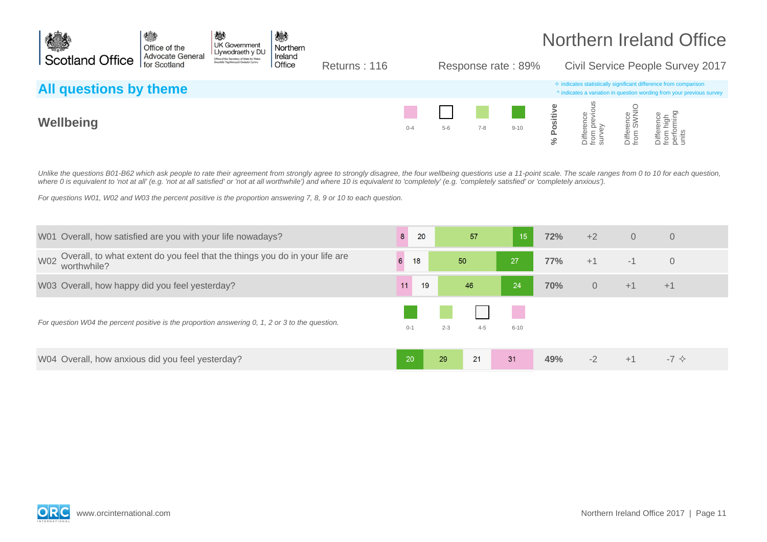

Returns : 116 Response rate : 89% Civil Service People Survey 2017

| All questions by theme |         |       |     |          |                                      |                | $\Leftrightarrow$ indicates statistically significant difference from comparison<br>A indicates a variation in question wording from your previous survey |
|------------------------|---------|-------|-----|----------|--------------------------------------|----------------|-----------------------------------------------------------------------------------------------------------------------------------------------------------|
| Wellbeing              | $0 - 4$ | $5-6$ | 7-8 | $9 - 10$ | $\overline{p}$ $\overline{p}$ $\geq$ | ∨ତି କି<br>om : | $\Phi$<br>유행<br>$-$                                                                                                                                       |

Unlike the questions B01-B62 which ask people to rate their agreement from strongly agree to strongly disagree, the four wellbeing questions use a 11-point scale. The scale ranges from 0 to 10 for each question, where 0 is equivalent to 'not at all' (e.g. 'not at all satisfied' or 'not at all worthwhile') and where 10 is equivalent to 'completely' (e.g. 'completely satisfied' or 'completely anxious').

For questions W01, W02 and W03 the percent positive is the proportion answering 7, 8, 9 or 10 to each question.

| W01 Overall, how satisfied are you with your life nowadays?                                              | 8       | 20 |         | 57      | 15       | 72% | $+2$           | $\overline{0}$ | $\overline{0}$       |  |
|----------------------------------------------------------------------------------------------------------|---------|----|---------|---------|----------|-----|----------------|----------------|----------------------|--|
| Overall, to what extent do you feel that the things you do in your life are<br><b>W02</b><br>worthwhile? | 6       | 18 | 50      |         | 27       | 77% | $+1$           | $-1$           | $\overline{0}$       |  |
| W03 Overall, how happy did you feel yesterday?                                                           | 11      | 19 |         | 46      | 24       | 70% | $\overline{0}$ | $+1$           | $+1$                 |  |
| For question W04 the percent positive is the proportion answering 0, 1, 2 or 3 to the question.          | $0 - 1$ |    | $2 - 3$ | $4 - 5$ | $6 - 10$ |     |                |                |                      |  |
| W04 Overall, how anxious did you feel yesterday?                                                         | 20      |    | 29      | 21      | 31       | 49% | $-2$           | $+1$           | $-7 \Leftrightarrow$ |  |

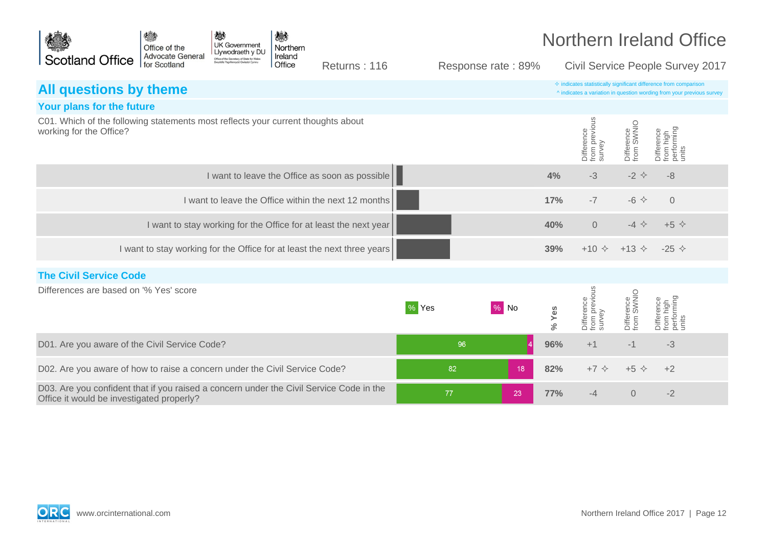

Returns : 116 Response rate : 89% Civil Service People Survey 2017

| All questions by theme                                                                                                               |       |        |            |                                       |                          | $\Diamond$ indicates statistically significant difference from comparison<br>^ indicates a variation in question wording from your previous survey |  |
|--------------------------------------------------------------------------------------------------------------------------------------|-------|--------|------------|---------------------------------------|--------------------------|----------------------------------------------------------------------------------------------------------------------------------------------------|--|
| Your plans for the future                                                                                                            |       |        |            |                                       |                          |                                                                                                                                                    |  |
| C01. Which of the following statements most reflects your current thoughts about<br>working for the Office?                          |       |        |            | Difference<br>from previous<br>survey | Difference<br>from SWNIO | Difference<br>from high<br>performing<br>units                                                                                                     |  |
| I want to leave the Office as soon as possible                                                                                       |       |        | 4%         | $-3$                                  | $-2$ $\leftrightarrow$   | $-8$                                                                                                                                               |  |
| I want to leave the Office within the next 12 months                                                                                 |       |        | 17%        | $-7$                                  | $-6$ $\Leftrightarrow$   | $\overline{0}$                                                                                                                                     |  |
| I want to stay working for the Office for at least the next year                                                                     |       |        | 40%        | $\overline{0}$                        | $-4$ $\Leftrightarrow$   | $+5$ $\diamond$                                                                                                                                    |  |
| I want to stay working for the Office for at least the next three years                                                              |       |        | 39%        |                                       | $+10 \div 13 \div$       | $-25 \diamond$                                                                                                                                     |  |
| <b>The Civil Service Code</b>                                                                                                        |       |        |            |                                       |                          |                                                                                                                                                    |  |
| Differences are based on '% Yes' score                                                                                               | % Yes | $%$ No | % Yes      | Difference<br>from previous<br>survey | Difference<br>from SWNIO | Difference<br>from high<br>performing<br>units                                                                                                     |  |
| D01. Are you aware of the Civil Service Code?                                                                                        |       | 96     | 96%        | $+1$                                  | $-1$                     | $-3$                                                                                                                                               |  |
| D02. Are you aware of how to raise a concern under the Civil Service Code?                                                           | 82    | 18     | 82%        | +7 $\leftrightarrow$                  | +5 $\Diamond$            | $+2$                                                                                                                                               |  |
| D03. Are you confident that if you raised a concern under the Civil Service Code in the<br>Office it would be investigated properly? | 77    | 23     | <b>77%</b> | $-4$                                  | $\overline{0}$           | $-2$                                                                                                                                               |  |

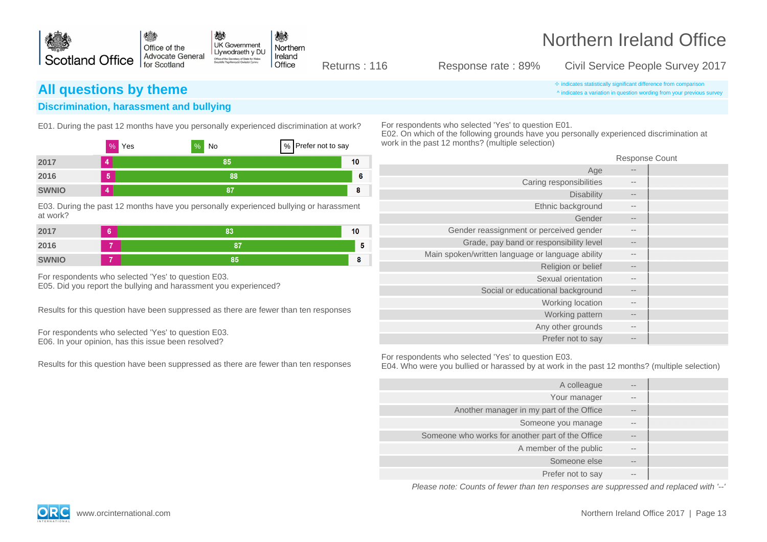

Returns : 116 Response rate : 89% Civil Service People Survey 2017

**All questions by theme indicates statistically significant difference from comparison** ^ indicates a variation in question wording from your previous survey

### **Discrimination, harassment and bullying**

E01. During the past 12 months have you personally experienced discrimination at work?

|              | %<br>Yes       | $\%$<br>No | % Prefer not to say |    |
|--------------|----------------|------------|---------------------|----|
| 2017         | 4              | 85         |                     | 10 |
| 2016         | 5              | 88         |                     | 6  |
| <b>SWNIO</b> | $\overline{4}$ | 87         |                     | 8  |

E03. During the past 12 months have you personally experienced bullying or harassment at work?

| 2017         | ÷ | 83 | 10 |
|--------------|---|----|----|
| 2016         |   | ß7 | 5  |
| <b>SWNIO</b> |   | 85 |    |

For respondents who selected 'Yes' to question E03. E05. Did you report the bullying and harassment you experienced?

Results for this question have been suppressed as there are fewer than ten responses

For respondents who selected 'Yes' to question E03. E06. In your opinion, has this issue been resolved?

Results for this question have been suppressed as there are fewer than ten responses

For respondents who selected 'Yes' to question E01.

E02. On which of the following grounds have you personally experienced discrimination at work in the past 12 months? (multiple selection)

Response Count

| --                | Age                                              |
|-------------------|--------------------------------------------------|
| $- -$             | Caring responsibilities                          |
| $- -$             | <b>Disability</b>                                |
| $- -$             | Ethnic background                                |
| $- -$             | Gender                                           |
| $- -$             | Gender reassignment or perceived gender          |
| $- -$             | Grade, pay band or responsibility level          |
| $- -$             | Main spoken/written language or language ability |
| $- -$             | Religion or belief                               |
| $\qquad \qquad -$ | Sexual orientation                               |
| $- -$             | Social or educational background                 |
| $- -$             | Working location                                 |
| $\qquad \qquad -$ | Working pattern                                  |
| $- -$             | Any other grounds                                |
| $-1$              | Prefer not to say                                |

For respondents who selected 'Yes' to question E03.

E04. Who were you bullied or harassed by at work in the past 12 months? (multiple selection)

| $- -$             | A colleague                                      |
|-------------------|--------------------------------------------------|
| $- -$             | Your manager                                     |
| $- -$             | Another manager in my part of the Office         |
| $- -$             | Someone you manage                               |
| $\qquad \qquad -$ | Someone who works for another part of the Office |
| $- -$             | A member of the public                           |
| $\qquad \qquad -$ | Someone else                                     |
| $- -$             | Prefer not to say                                |

Please note: Counts of fewer than ten responses are suppressed and replaced with '--'



www.orcinternational.com Northern Ireland Office 2017 | Page 13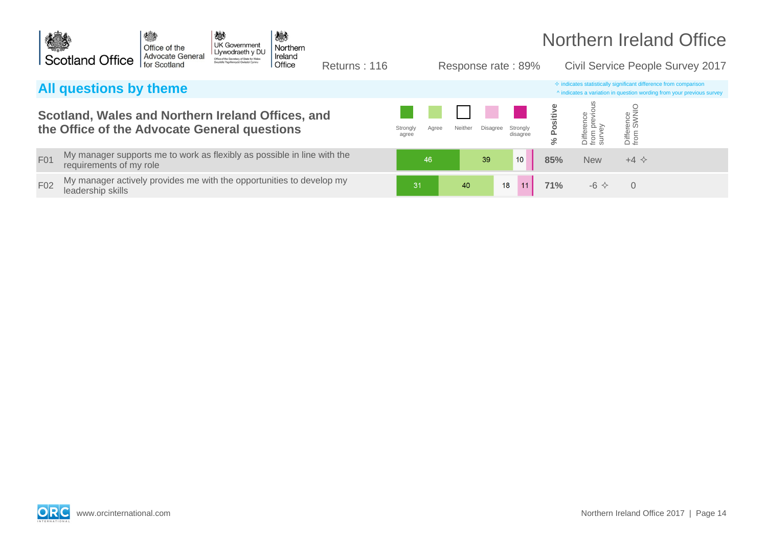

Returns : 116 Response rate : 89% Civil Service People Survey 2017

## **All questions by theme indicates statistically significant difference** from comparison

### **Scotland, Wales and Northern Ireland Offices, and**  the Office of the Advocate General questions

- F01 My manager supports me to work as flexibly as possible in line with the **85 metal and the set of the set of the set of the set of the set of the set of the set of the set of the set of the set of the set of the set of**
- F02 My manager actively provides me with the opportunities to develop my **13 and 13 and 12 and 12 and 11 and 11 71%** -6  $\diamond$  0

|                            |         |          |                      |               |                                                       |                         | A indicates a variation in question wording from your previous survey |
|----------------------------|---------|----------|----------------------|---------------|-------------------------------------------------------|-------------------------|-----------------------------------------------------------------------|
| Strongly<br>Agree<br>agree | Neither | Disagree | Strongly<br>disagree | Positive<br>℅ | evious<br>Difference<br>$\bar{a}$<br>6<br>from<br>sur | Difference<br>from SWNI |                                                                       |
| 46                         |         | 39       | 10                   | 85%           | <b>New</b>                                            | $+4$ $\Leftrightarrow$  |                                                                       |
| 31                         | 40      | 18       | 11                   | 71%           | $-6$ $\Leftrightarrow$                                | 0                       |                                                                       |